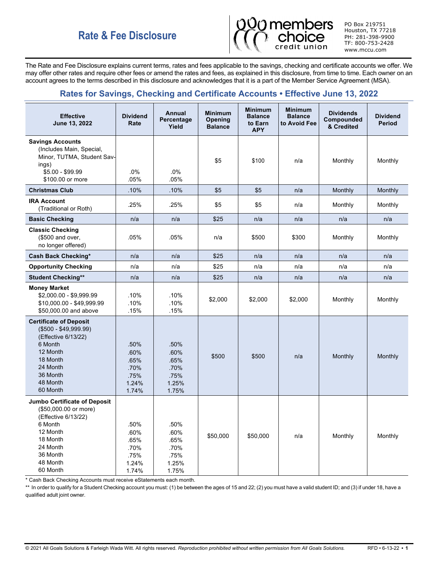# **Rate & Fee Disclosure**



PO Box 219751 Houston, TX 77218 PH: 281-398-9900 TF: 800-753-2428 www.mccu.com

The Rate and Fee Disclosure explains current terms, rates and fees applicable to the savings, checking and certificate accounts we offer. We may offer other rates and require other fees or amend the rates and fees, as explained in this disclosure, from time to time. Each owner on an account agrees to the terms described in this disclosure and acknowledges that it is a part of the Member Service Agreement (MSA).

# **Rates for Savings, Checking and Certificate Accounts • Effective June 13, 2022**

| <b>Effective</b><br>June 13, 2022                                                                                                                                | <b>Dividend</b><br>Rate                                | Annual<br>Percentage<br>Yield                          | <b>Minimum</b><br><b>Opening</b><br><b>Balance</b> | <b>Minimum</b><br><b>Balance</b><br>to Earn<br><b>APY</b> | <b>Minimum</b><br><b>Balance</b><br>to Avoid Fee | <b>Dividends</b><br>Compounded<br>& Credited | <b>Dividend</b><br><b>Period</b> |
|------------------------------------------------------------------------------------------------------------------------------------------------------------------|--------------------------------------------------------|--------------------------------------------------------|----------------------------------------------------|-----------------------------------------------------------|--------------------------------------------------|----------------------------------------------|----------------------------------|
| <b>Savings Accounts</b><br>(Includes Main, Special,<br>Minor, TUTMA, Student Sav-<br>ings)<br>\$5.00 - \$99.99<br>\$100.00 or more                               | .0%<br>.05%                                            | .0%<br>.05%                                            | \$5                                                | \$100                                                     | n/a                                              | Monthly                                      | Monthly                          |
| <b>Christmas Club</b>                                                                                                                                            | .10%                                                   | .10%                                                   | \$5                                                | \$5                                                       | n/a                                              | Monthly                                      | Monthly                          |
| <b>IRA Account</b><br>(Traditional or Roth)                                                                                                                      | .25%                                                   | .25%                                                   | \$5                                                | \$5                                                       | n/a                                              | Monthly                                      | Monthly                          |
| <b>Basic Checking</b>                                                                                                                                            | n/a                                                    | n/a                                                    | \$25                                               | n/a                                                       | n/a                                              | n/a                                          | n/a                              |
| <b>Classic Checking</b><br>(\$500 and over,<br>no longer offered)                                                                                                | .05%                                                   | .05%                                                   | n/a                                                | \$500                                                     | \$300                                            | Monthly                                      | Monthly                          |
| <b>Cash Back Checking*</b>                                                                                                                                       | n/a                                                    | n/a                                                    | \$25                                               | n/a                                                       | n/a                                              | n/a                                          | n/a                              |
| <b>Opportunity Checking</b>                                                                                                                                      | n/a                                                    | n/a                                                    | \$25                                               | n/a                                                       | n/a                                              | n/a                                          | n/a                              |
| <b>Student Checking**</b>                                                                                                                                        | n/a                                                    | n/a                                                    | \$25                                               | n/a                                                       | n/a                                              | n/a                                          | n/a                              |
| <b>Money Market</b><br>\$2,000.00 - \$9,999.99<br>\$10,000.00 - \$49,999.99<br>\$50,000.00 and above                                                             | .10%<br>.10%<br>.15%                                   | .10%<br>.10%<br>.15%                                   | \$2,000                                            | \$2,000                                                   | \$2,000                                          | Monthly                                      | Monthly                          |
| <b>Certificate of Deposit</b><br>$($500 - $49,999.99)$<br>(Effective 6/13/22)<br>6 Month<br>12 Month<br>18 Month<br>24 Month<br>36 Month<br>48 Month<br>60 Month | .50%<br>.60%<br>.65%<br>.70%<br>.75%<br>1.24%<br>1.74% | .50%<br>.60%<br>.65%<br>.70%<br>.75%<br>1.25%<br>1.75% | \$500                                              | \$500                                                     | n/a                                              | Monthly                                      | Monthly                          |
| Jumbo Certificate of Deposit<br>(\$50,000.00 or more)<br>(Effective 6/13/22)<br>6 Month<br>12 Month<br>18 Month<br>24 Month<br>36 Month<br>48 Month<br>60 Month  | .50%<br>.60%<br>.65%<br>.70%<br>.75%<br>1.24%<br>1.74% | .50%<br>.60%<br>.65%<br>.70%<br>.75%<br>1.25%<br>1.75% | \$50,000                                           | \$50,000                                                  | n/a                                              | Monthly                                      | Monthly                          |

\* Cash Back Checking Accounts must receive eStatements each month.

\*\* In order to qualify for a Student Checking account you must: (1) be between the ages of 15 and 22; (2) you must have a valid student ID; and (3) if under 18, have a qualified adult joint owner.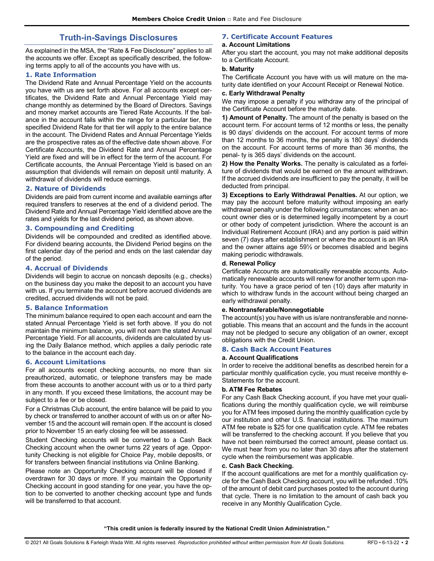## **Truth-in-Savings Disclosures**

As explained in the MSA, the "Rate & Fee Disclosure" applies to all the accounts we offer. Except as specifically described, the following terms apply to all of the accounts you have with us.

#### **1. Rate Information**

The Dividend Rate and Annual Percentage Yield on the accounts you have with us are set forth above. For all accounts except certificates, the Dividend Rate and Annual Percentage Yield may change monthly as determined by the Board of Directors. Savings and money market accounts are Tiered Rate Accounts. If the balance in the account falls within the range for a particular tier, the specified Dividend Rate for that tier will apply to the entire balance in the account. The Dividend Rates and Annual Percentage Yields are the prospective rates as of the effective date shown above. For Certificate Accounts, the Dividend Rate and Annual Percentage Yield are fixed and will be in effect for the term of the account. For Certificate accounts, the Annual Percentage Yield is based on an assumption that dividends will remain on deposit until maturity. A withdrawal of dividends will reduce earnings.

## **2. Nature of Dividends**

Dividends are paid from current income and available earnings after required transfers to reserves at the end of a dividend period. The Dividend Rate and Annual Percentage Yield identified above are the rates and yields for the last dividend period, as shown above.

#### **3. Compounding and Crediting**

Dividends will be compounded and credited as identified above. For dividend bearing accounts, the Dividend Period begins on the first calendar day of the period and ends on the last calendar day of the period.

#### **4. Accrual of Dividends**

Dividends will begin to accrue on noncash deposits (e.g., checks) on the business day you make the deposit to an account you have with us. If you terminate the account before accrued dividends are credited, accrued dividends will not be paid.

#### **5. Balance Information**

The minimum balance required to open each account and earn the stated Annual Percentage Yield is set forth above. If you do not maintain the minimum balance, you will not earn the stated Annual Percentage Yield. For all accounts, dividends are calculated by using the Daily Balance method, which applies a daily periodic rate to the balance in the account each day.

#### **6. Account Limitations**

For all accounts except checking accounts, no more than six preauthorized, automatic, or telephone transfers may be made from these accounts to another account with us or to a third party in any month. If you exceed these limitations, the account may be subject to a fee or be closed.

For a Christmas Club account, the entire balance will be paid to you by check or transferred to another account of with us on or after November 15 and the account will remain open. If the account is closed prior to November 15 an early closing fee will be assessed.

Student Checking accounts will be converted to a Cash Back Checking account when the owner turns 22 years of age. Opportunity Checking is not eligible for Choice Pay, mobile deposits, or for transfers between financial institutions via Online Banking.

Please note an Opportunity Checking account will be closed if overdrawn for 30 days or more. If you maintain the Opportunity Checking account in good standing for one year, you have the option to be converted to another checking account type and funds will be transferred to that account.

#### **7. Certificate Account Features a. Account Limitations**

After you start the account, you may not make additional deposits to a Certificate Account.

## **b. Maturity**

The Certificate Account you have with us will mature on the maturity date identified on your Account Receipt or Renewal Notice.

#### **c. Early Withdrawal Penalty**

We may impose a penalty if you withdraw any of the principal of the Certificate Account before the maturity date.

**1) Amount of Penalty.** The amount of the penalty is based on the account term. For account terms of 12 months or less, the penalty is 90 days' dividends on the account. For account terms of more than 12 months to 36 months, the penalty is 180 days' dividends on the account. For account terms of more than 36 months, the penal- ty is 365 days' dividends on the account.

**2) How the Penalty Works.** The penalty is calculated as a forfeiture of dividends that would be earned on the amount withdrawn. If the accrued dividends are insufficient to pay the penalty, it will be deducted from principal.

**3) Exceptions to Early Withdrawal Penalties.** At our option, we may pay the account before maturity without imposing an early withdrawal penalty under the following circumstances: when an account owner dies or is determined legally incompetent by a court or other body of competent jurisdiction. Where the account is an Individual Retirement Account (IRA) and any portion is paid within seven (7) days after establishment or where the account is an IRA and the owner attains age 59½ or becomes disabled and begins making periodic withdrawals.

#### **d. Renewal Policy**

Certificate Accounts are automatically renewable accounts. Automatically renewable accounts will renew for another term upon maturity. You have a grace period of ten (10) days after maturity in which to withdraw funds in the account without being charged an early withdrawal penalty.

#### **e. Nontransferable/Nonnegotiable**

The account(s) you have with us is/are nontransferable and nonnegotiable. This means that an account and the funds in the account may not be pledged to secure any obligation of an owner, except obligations with the Credit Union.

#### **8. Cash Back Account Features**

#### **a. Account Qualifications**

In order to receive the additional benefits as described herein for a particular monthly qualification cycle, you must receive monthly e-Statements for the account.

#### **b. ATM Fee Rebates**

For any Cash Back Checking account, if you have met your qualifications during the monthly qualification cycle, we will reimburse you for ATM fees imposed during the monthly qualification cycle by our institution and other U.S. financial institutions. The maximum ATM fee rebate is \$25 for one qualification cycle. ATM fee rebates will be transferred to the checking account. If you believe that you have not been reimbursed the correct amount, please contact us. We must hear from you no later than 30 days after the statement cycle when the reimbursement was applicable.

#### **c. Cash Back Checking.**

If the account qualifications are met for a monthly qualification cycle for the Cash Back Checking account, you will be refunded .10% of the amount of debit card purchases posted to the account during that cycle. There is no limitation to the amount of cash back you receive in any Monthly Qualification Cycle.

**"This credit union is federally insured by the National Credit Union Administration."**